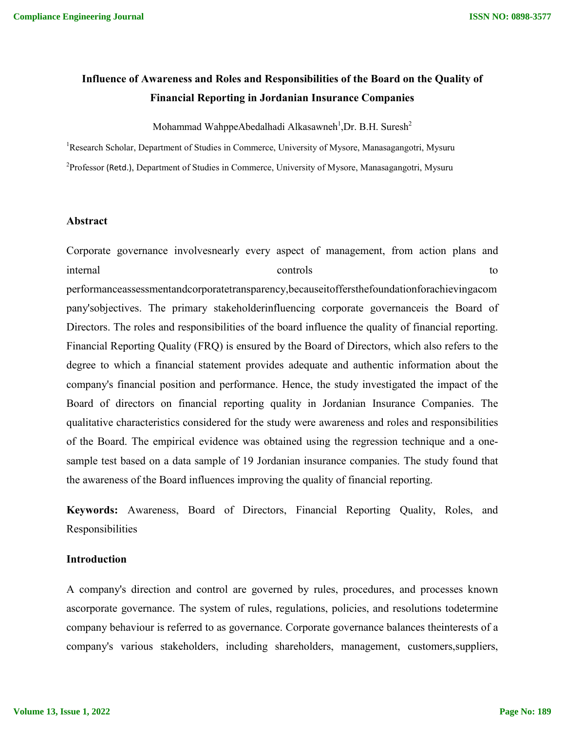# **Influence of Awareness and Roles and Responsibilities of the Board on the Quality of Financial Reporting in Jordanian Insurance Companies**

Mohammad WahppeAbedalhadi Alkasawneh<sup>1</sup>,Dr. B.H. Suresh<sup>2</sup>

<sup>1</sup>Research Scholar, Department of Studies in Commerce, University of Mysore, Manasagangotri, Mysuru  $^{2}$ Professor (Retd.), Department of Studies in Commerce, University of Mysore, Manasagangotri, Mysuru

### **Abstract**

Corporate governance involvesnearly every aspect of management, from action plans and internal to the controls to the controls to the controls to the controls of the controls to the controls of the controls of the controls of the controls of the controls of the controls of the control of the control of the performanceassessmentandcorporatetransparency,becauseitoffersthefoundationforachievingacom pany'sobjectives. The primary stakeholderinfluencing corporate governanceis the Board of Directors. The roles and responsibilities of the board influence the quality of financial reporting. Financial Reporting Quality (FRQ) is ensured by the Board of Directors, which also refers to the degree to which a financial statement provides adequate and authentic information about the company's financial position and performance. Hence, the study investigated the impact of the Board of directors on financial reporting quality in Jordanian Insurance Companies. The qualitative characteristics considered for the study were awareness and roles and responsibilities of the Board. The empirical evidence was obtained using the regression technique and a onesample test based on a data sample of 19 Jordanian insurance companies. The study found that the awareness of the Board influences improving the quality of financial reporting.

**Keywords:** Awareness, Board of Directors, Financial Reporting Quality, Roles, and Responsibilities

#### **Introduction**

A company's direction and control are governed by rules, procedures, and processes known ascorporate governance. The system of rules, regulations, policies, and resolutions todetermine company behaviour is referred to as governance. Corporate governance balances theinterests of a company's various stakeholders, including shareholders, management, customers,suppliers,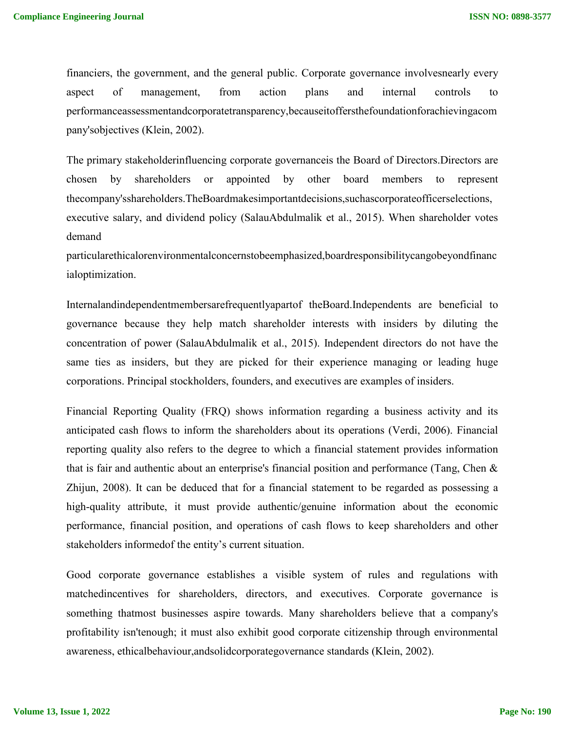financiers, the government, and the general public. Corporate governance involvesnearly every aspect of management, from action plans and internal controls to performanceassessmentandcorporatetransparency,becauseitoffersthefoundationforachievingacom pany'sobjectives (Klein, 2002).

The primary stakeholderinfluencing corporate governanceis the Board of Directors.Directors are chosen by shareholders or appointed by other board members to represent thecompany'sshareholders.TheBoardmakesimportantdecisions,suchascorporateofficerselections, executive salary, and dividend policy (SalauAbdulmalik et al., 2015). When shareholder votes demand

particularethicalorenvironmentalconcernstobeemphasized,boardresponsibilitycangobeyondfinanc ialoptimization.

Internalandindependentmembersarefrequentlyapartof theBoard.Independents are beneficial to governance because they help match shareholder interests with insiders by diluting the concentration of power (SalauAbdulmalik et al., 2015). Independent directors do not have the same ties as insiders, but they are picked for their experience managing or leading huge corporations. Principal stockholders, founders, and executives are examples of insiders.

Financial Reporting Quality (FRQ) shows information regarding a business activity and its anticipated cash flows to inform the shareholders about its operations (Verdi, 2006). Financial reporting quality also refers to the degree to which a financial statement provides information that is fair and authentic about an enterprise's financial position and performance (Tang, Chen & Zhijun, 2008). It can be deduced that for a financial statement to be regarded as possessing a high-quality attribute, it must provide authentic/genuine information about the economic performance, financial position, and operations of cash flows to keep shareholders and other stakeholders informedof the entity's current situation.

Good corporate governance establishes a visible system of rules and regulations with matchedincentives for shareholders, directors, and executives. Corporate governance is something thatmost businesses aspire towards. Many shareholders believe that a company's profitability isn'tenough; it must also exhibit good corporate citizenship through environmental awareness, ethicalbehaviour,andsolidcorporategovernance standards (Klein, 2002).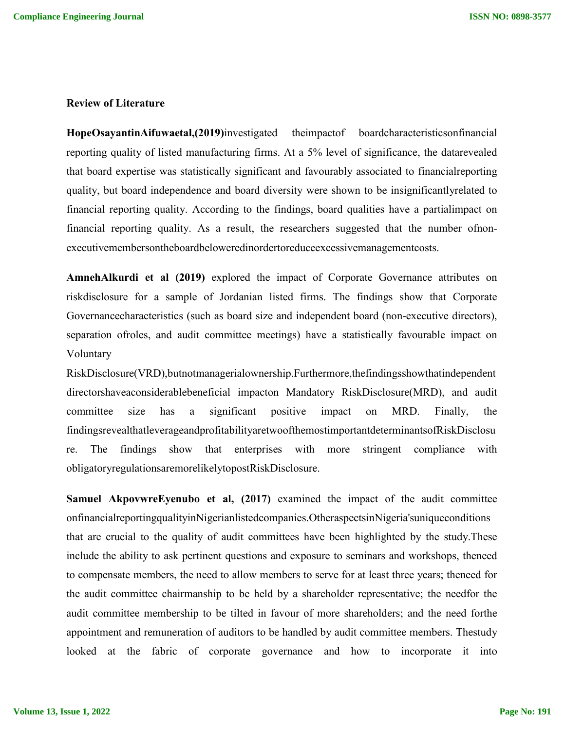#### **Review of Literature**

**HopeOsayantinAifuwaetal,(2019)**investigated theimpactof boardcharacteristicsonfinancial reporting quality of listed manufacturing firms. At a 5% level of significance, the datarevealed that board expertise was statistically significant and favourably associated to financialreporting quality, but board independence and board diversity were shown to be insignificantlyrelated to financial reporting quality. According to the findings, board qualities have a partialimpact on financial reporting quality. As a result, the researchers suggested that the number ofnonexecutivemembersontheboardbeloweredinordertoreduceexcessivemanagementcosts.

**AmnehAlkurdi et al (2019)** explored the impact of Corporate Governance attributes on riskdisclosure for a sample of Jordanian listed firms. The findings show that Corporate Governancecharacteristics (such as board size and independent board (non-executive directors), separation ofroles, and audit committee meetings) have a statistically favourable impact on Voluntary

RiskDisclosure(VRD),butnotmanagerialownership.Furthermore,thefindingsshowthatindependent directorshaveaconsiderablebeneficial impacton Mandatory RiskDisclosure(MRD), and audit committee size has a significant positive impact on MRD. Finally, the findingsrevealthatleverageandprofitabilityaretwoofthemostimportantdeterminantsofRiskDisclosu re. The findings show that enterprises with more stringent compliance with obligatoryregulationsaremorelikelytopostRiskDisclosure.

**Samuel AkpovwreEyenubo et al, (2017)** examined the impact of the audit committee onfinancialreportingqualityinNigerianlistedcompanies.OtheraspectsinNigeria'suniqueconditions that are crucial to the quality of audit committees have been highlighted by the study.These include the ability to ask pertinent questions and exposure to seminars and workshops, theneed to compensate members, the need to allow members to serve for at least three years; theneed for the audit committee chairmanship to be held by a shareholder representative; the needfor the audit committee membership to be tilted in favour of more shareholders; and the need forthe appointment and remuneration of auditors to be handled by audit committee members. Thestudy looked at the fabric of corporate governance and how to incorporate it into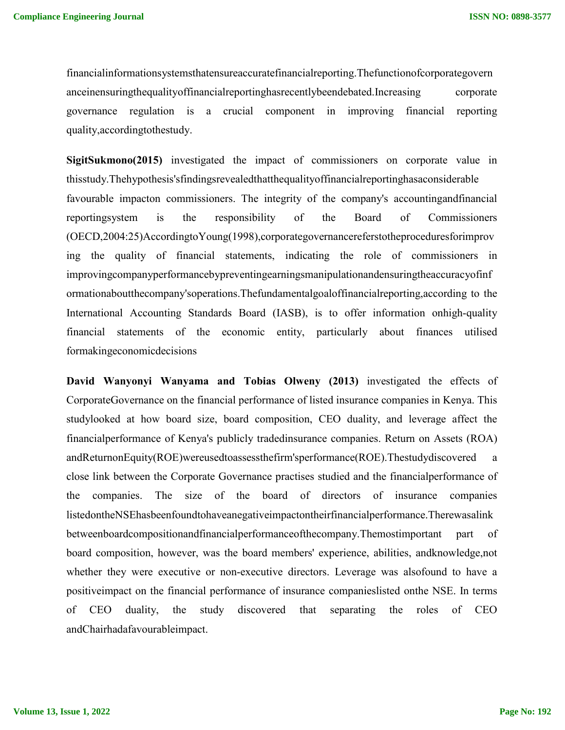financialinformationsystemsthatensureaccuratefinancialreporting.Thefunctionofcorporategovern anceinensuringthequalityoffinancialreportinghasrecentlybeendebated.Increasing corporate governance regulation is a crucial component in improving financial reporting quality,accordingtothestudy.

**SigitSukmono(2015)** investigated the impact of commissioners on corporate value in thisstudy.Thehypothesis'sfindingsrevealedthatthequalityoffinancialreportinghasaconsiderable favourable impacton commissioners. The integrity of the company's accountingandfinancial reportingsystem is the responsibility of the Board of Commissioners (OECD,2004:25)AccordingtoYoung(1998),corporategovernancereferstotheproceduresforimprov ing the quality of financial statements, indicating the role of commissioners in improvingcompanyperformancebypreventingearningsmanipulationandensuringtheaccuracyofinf ormationaboutthecompany'soperations.Thefundamentalgoaloffinancialreporting,according to the International Accounting Standards Board (IASB), is to offer information onhigh-quality financial statements of the economic entity, particularly about finances utilised formakingeconomicdecisions

**David Wanyonyi Wanyama and Tobias Olweny (2013)** investigated the effects of CorporateGovernance on the financial performance of listed insurance companies in Kenya. This studylooked at how board size, board composition, CEO duality, and leverage affect the financialperformance of Kenya's publicly tradedinsurance companies. Return on Assets (ROA) andReturnonEquity(ROE)wereusedtoassessthefirm'sperformance(ROE).Thestudydiscovered a close link between the Corporate Governance practises studied and the financialperformance of the companies. The size of the board of directors of insurance companies listedontheNSEhasbeenfoundtohaveanegativeimpactontheirfinancialperformance.Therewasalink betweenboardcompositionandfinancialperformanceofthecompany.Themostimportant part of board composition, however, was the board members' experience, abilities, andknowledge,not whether they were executive or non-executive directors. Leverage was alsofound to have a positiveimpact on the financial performance of insurance companieslisted onthe NSE. In terms of CEO duality, the study discovered that separating the roles of CEO andChairhadafavourableimpact.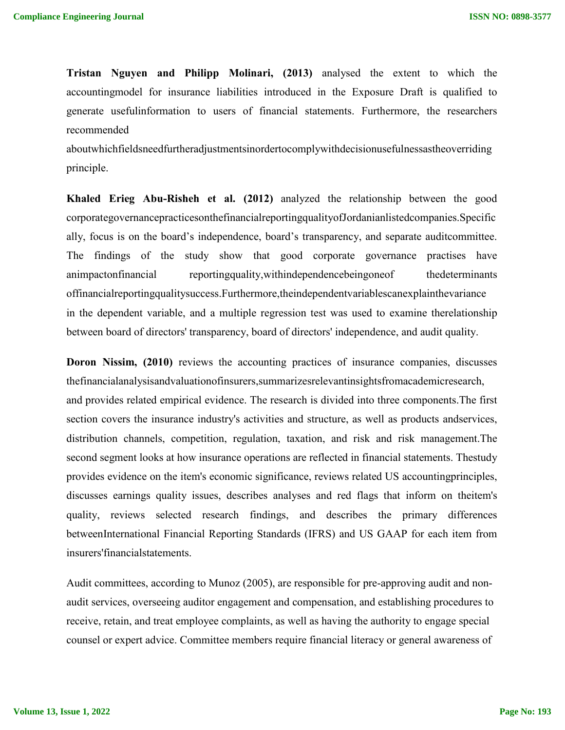**Tristan Nguyen and Philipp Molinari, (2013)** analysed the extent to which the accountingmodel for insurance liabilities introduced in the Exposure Draft is qualified to generate usefulinformation to users of financial statements. Furthermore, the researchers recommended

aboutwhichfieldsneedfurtheradjustmentsinordertocomplywithdecisionusefulnessastheoverriding principle.

**Khaled Erieg Abu-Risheh et al. (2012)** analyzed the relationship between the good corporategovernancepracticesonthefinancialreportingqualityofJordanianlistedcompanies.Specific ally, focus is on the board's independence, board's transparency, and separate auditcommittee. The findings of the study show that good corporate governance practises have animpactonfinancial reportingquality,withindependencebeingoneof thedeterminants offinancialreportingqualitysuccess.Furthermore,theindependentvariablescanexplainthevariance in the dependent variable, and a multiple regression test was used to examine therelationship between board of directors' transparency, board of directors' independence, and audit quality.

**Doron Nissim, (2010)** reviews the accounting practices of insurance companies, discusses thefinancialanalysisandvaluationofinsurers,summarizesrelevantinsightsfromacademicresearch, and provides related empirical evidence. The research is divided into three components.The first section covers the insurance industry's activities and structure, as well as products andservices, distribution channels, competition, regulation, taxation, and risk and risk management.The second segment looks at how insurance operations are reflected in financial statements. Thestudy provides evidence on the item's economic significance, reviews related US accountingprinciples, discusses earnings quality issues, describes analyses and red flags that inform on theitem's quality, reviews selected research findings, and describes the primary differences betweenInternational Financial Reporting Standards (IFRS) and US GAAP for each item from insurers'financialstatements.

Audit committees, according to Munoz (2005), are responsible for pre-approving audit and nonaudit services, overseeing auditor engagement and compensation, and establishing procedures to receive, retain, and treat employee complaints, as well as having the authority to engage special counsel or expert advice. Committee members require financial literacy or general awareness of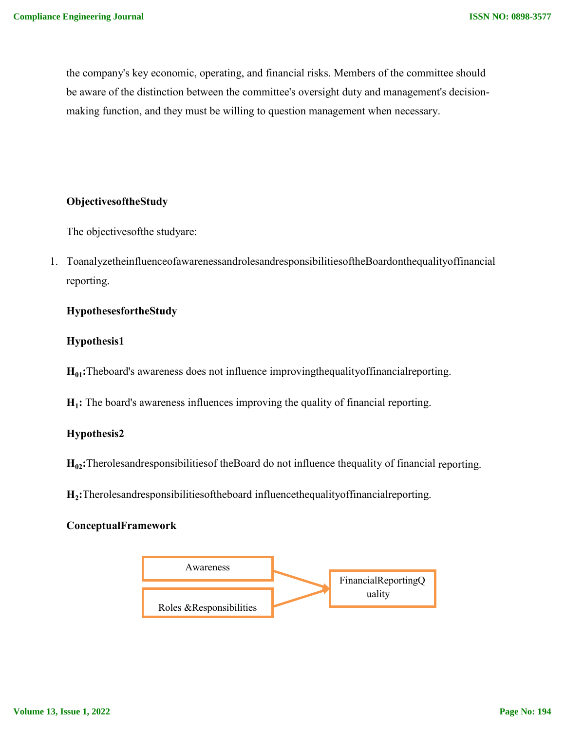the company's key economic, operating, and financial risks. Members of the committee should be aware of the distinction between the committee's oversight duty and management's decisionmaking function, and they must be willing to question management when necessary.

# **ObjectivesoftheStudy**

The objectivesofthe studyare:

1. ToanalyzetheinfluenceofawarenessandrolesandresponsibilitiesoftheBoardonthequalityoffinancial reporting.

## **HypothesesfortheStudy**

#### **Hypothesis1**

**H<sub>01</sub>:**Theboard's awareness does not influence improvingthequalityoffinancialreporting.

**H<sub>1</sub>:** The board's awareness influences improving the quality of financial reporting.

#### **Hypothesis2**

**H02:**Therolesandresponsibilitiesof theBoard do not influence thequality of financial reporting.

**H2:**Therolesandresponsibilitiesoftheboard influencethequalityoffinancialreporting.

### **ConceptualFramework**

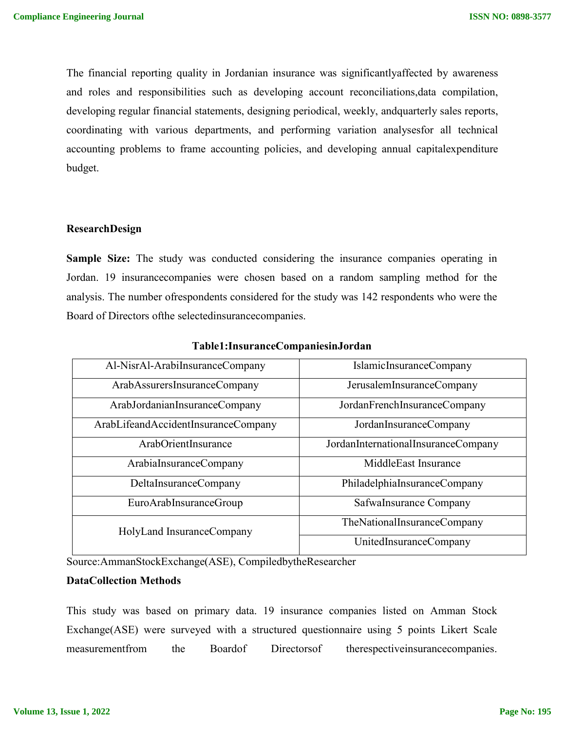The financial reporting quality in Jordanian insurance was significantlyaffected by awareness and roles and responsibilities such as developing account reconciliations,data compilation, developing regular financial statements, designing periodical, weekly, andquarterly sales reports, coordinating with various departments, and performing variation analysesfor all technical accounting problems to frame accounting policies, and developing annual capitalexpenditure budget.

#### **ResearchDesign**

**Sample Size:** The study was conducted considering the insurance companies operating in Jordan. 19 insurancecompanies were chosen based on a random sampling method for the analysis. The number ofrespondents considered for the study was 142 respondents who were the Board of Directors ofthe selectedinsurancecompanies.

| Al-NisrAl-ArabiInsuranceCompany     | IslamicInsuranceCompany             |
|-------------------------------------|-------------------------------------|
| ArabAssurersInsuranceCompany        | JerusalemInsuranceCompany           |
| ArabJordanianInsuranceCompany       | JordanFrenchInsuranceCompany        |
| ArabLifeandAccidentInsuranceCompany | JordanInsuranceCompany              |
| ArabOrientInsurance                 | JordanInternationalInsuranceCompany |
| ArabiaInsuranceCompany              | MiddleEast Insurance                |
| DeltaInsuranceCompany               | PhiladelphiaInsuranceCompany        |
| EuroArabInsuranceGroup              | SafwaInsurance Company              |
| HolyLand InsuranceCompany           | TheNationalInsuranceCompany         |
|                                     | UnitedInsuranceCompany              |

#### **Table1:InsuranceCompaniesinJordan**

Source:AmmanStockExchange(ASE), CompiledbytheResearcher

### **DataCollection Methods**

This study was based on primary data. 19 insurance companies listed on Amman Stock Exchange(ASE) were surveyed with a structured questionnaire using 5 points Likert Scale measurementfrom the Boardof Directorsof therespectiveinsurancecompanies.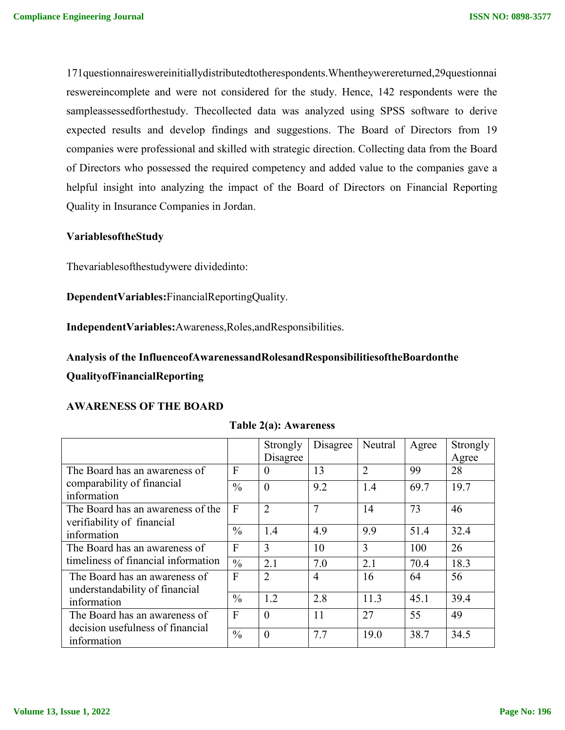171questionnaireswereinitiallydistributedtotherespondents.Whentheywerereturned,29questionnai reswereincomplete and were not considered for the study. Hence, 142 respondents were the sampleassessedforthestudy. Thecollected data was analyzed using SPSS software to derive expected results and develop findings and suggestions. The Board of Directors from 19 companies were professional and skilled with strategic direction. Collecting data from the Board of Directors who possessed the required competency and added value to the companies gave a helpful insight into analyzing the impact of the Board of Directors on Financial Reporting Quality in Insurance Companies in Jordan.

## **VariablesoftheStudy**

Thevariablesofthestudywere dividedinto:

**DependentVariables:**FinancialReportingQuality.

**IndependentVariables:**Awareness,Roles,andResponsibilities.

**Analysis of the InfluenceofAwarenessandRolesandResponsibilitiesoftheBoardonthe QualityofFinancialReporting**

#### **AWARENESS OF THE BOARD**

|                                                                 |               | Strongly       | Disagree | Neutral        | Agree | Strongly |
|-----------------------------------------------------------------|---------------|----------------|----------|----------------|-------|----------|
|                                                                 |               | Disagree       |          |                |       | Agree    |
| The Board has an awareness of                                   | $\mathbf{F}$  | $\theta$       | 13       | $\overline{2}$ | 99    | 28       |
| comparability of financial<br>information                       | $\frac{0}{0}$ | $\theta$       | 9.2      | 1.4            | 69.7  | 19.7     |
| The Board has an awareness of the<br>verifiability of financial | F             | $\overline{2}$ | 7        | 14             | 73    | 46       |
| information                                                     | $\frac{0}{0}$ | 1.4            | 4.9      | 9.9            | 51.4  | 32.4     |
| The Board has an awareness of                                   | F             | 3              | 10       | 3              | 100   | 26       |
| timeliness of financial information                             | $\frac{0}{0}$ | 2.1            | 7.0      | 2.1            | 70.4  | 18.3     |
| The Board has an awareness of<br>understandability of financial | F             | $\overline{2}$ | 4        | 16             | 64    | 56       |
| information                                                     | $\frac{0}{0}$ | 1.2            | 2.8      | 11.3           | 45.1  | 39.4     |
| The Board has an awareness of                                   | F             | $\Omega$       | 11       | 27             | 55    | 49       |
| decision usefulness of financial<br>information                 | $\frac{0}{0}$ | $\theta$       | 7.7      | 19.0           | 38.7  | 34.5     |

#### **Table 2(a): Awareness**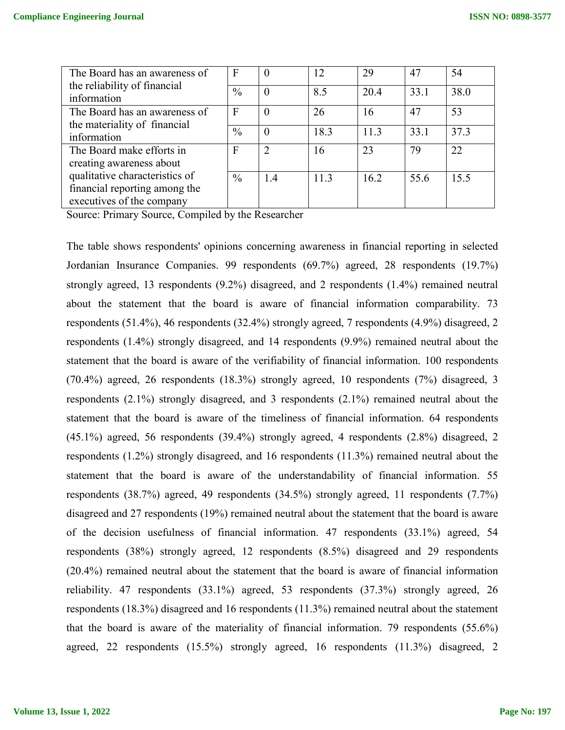| The Board has an awareness of  | F             | $\theta$ | 12   | 29   | 47   | 54   |
|--------------------------------|---------------|----------|------|------|------|------|
| the reliability of financial   | $\frac{0}{0}$ | $\theta$ | 8.5  | 20.4 | 33.1 | 38.0 |
| information                    |               |          |      |      |      |      |
| The Board has an awareness of  | F             | $\Omega$ | 26   | 16   | 47   | 53   |
| the materiality of financial   |               |          |      |      |      |      |
| information                    | $\frac{0}{0}$ | $\theta$ | 18.3 | 11.3 | 33.1 | 37.3 |
| The Board make efforts in      | $\mathbf{F}$  |          | 16   | 23   | 79   | 22   |
| creating awareness about       |               |          |      |      |      |      |
| qualitative characteristics of | $\frac{0}{0}$ | 1.4      | 11.3 | 16.2 | 55.6 | 15.5 |
| financial reporting among the  |               |          |      |      |      |      |
| executives of the company      |               |          |      |      |      |      |

Source: Primary Source, Compiled by the Researcher

The table shows respondents' opinions concerning awareness in financial reporting in selected Jordanian Insurance Companies. 99 respondents (69.7%) agreed, 28 respondents (19.7%) strongly agreed, 13 respondents (9.2%) disagreed, and 2 respondents (1.4%) remained neutral about the statement that the board is aware of financial information comparability. 73 respondents (51.4%), 46 respondents (32.4%) strongly agreed, 7 respondents (4.9%) disagreed, 2 respondents (1.4%) strongly disagreed, and 14 respondents (9.9%) remained neutral about the statement that the board is aware of the verifiability of financial information. 100 respondents (70.4%) agreed, 26 respondents (18.3%) strongly agreed, 10 respondents (7%) disagreed, 3 respondents (2.1%) strongly disagreed, and 3 respondents (2.1%) remained neutral about the statement that the board is aware of the timeliness of financial information. 64 respondents (45.1%) agreed, 56 respondents (39.4%) strongly agreed, 4 respondents (2.8%) disagreed, 2 respondents (1.2%) strongly disagreed, and 16 respondents (11.3%) remained neutral about the statement that the board is aware of the understandability of financial information. 55 respondents (38.7%) agreed, 49 respondents (34.5%) strongly agreed, 11 respondents (7.7%) disagreed and 27 respondents (19%) remained neutral about the statement that the board is aware of the decision usefulness of financial information. 47 respondents (33.1%) agreed, 54 respondents (38%) strongly agreed, 12 respondents (8.5%) disagreed and 29 respondents (20.4%) remained neutral about the statement that the board is aware of financial information reliability. 47 respondents (33.1%) agreed, 53 respondents (37.3%) strongly agreed, 26 respondents (18.3%) disagreed and 16 respondents (11.3%) remained neutral about the statement that the board is aware of the materiality of financial information. 79 respondents (55.6%) agreed, 22 respondents (15.5%) strongly agreed, 16 respondents (11.3%) disagreed, 2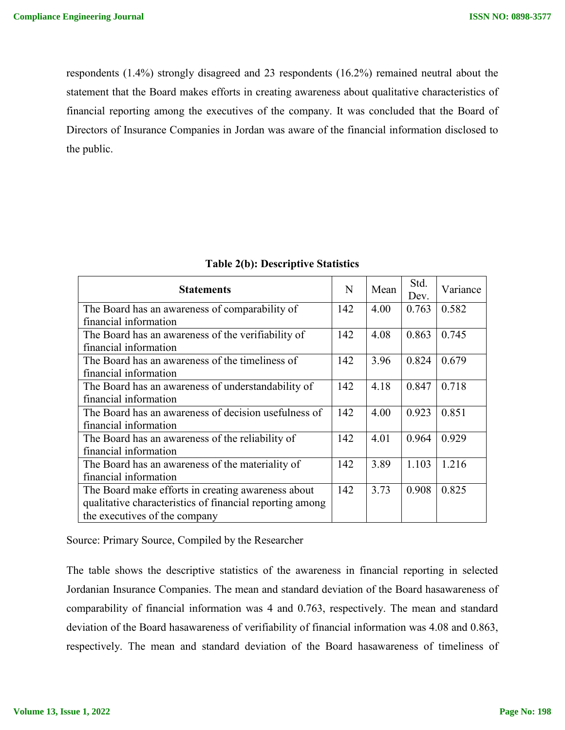respondents (1.4%) strongly disagreed and 23 respondents (16.2%) remained neutral about the statement that the Board makes efforts in creating awareness about qualitative characteristics of financial reporting among the executives of the company. It was concluded that the Board of Directors of Insurance Companies in Jordan was aware of the financial information disclosed to the public.

| <b>Statements</b>                                        | N   | Mean | Std.<br>Dev. | Variance |
|----------------------------------------------------------|-----|------|--------------|----------|
| The Board has an awareness of comparability of           | 142 | 4.00 | 0.763        | 0.582    |
| financial information                                    |     |      |              |          |
| The Board has an awareness of the verifiability of       | 142 | 4.08 | 0.863        | 0.745    |
| financial information                                    |     |      |              |          |
| The Board has an awareness of the timeliness of          | 142 | 3.96 | 0.824        | 0.679    |
| financial information                                    |     |      |              |          |
| The Board has an awareness of understandability of       | 142 | 4.18 | 0.847        | 0.718    |
| financial information                                    |     |      |              |          |
| The Board has an awareness of decision usefulness of     | 142 | 4.00 | 0.923        | 0.851    |
| financial information                                    |     |      |              |          |
| The Board has an awareness of the reliability of         | 142 | 4.01 | 0.964        | 0.929    |
| financial information                                    |     |      |              |          |
| The Board has an awareness of the materiality of         | 142 | 3.89 | 1.103        | 1.216    |
| financial information                                    |     |      |              |          |
| The Board make efforts in creating awareness about       | 142 | 3.73 | 0.908        | 0.825    |
| qualitative characteristics of financial reporting among |     |      |              |          |
| the executives of the company                            |     |      |              |          |

#### **Table 2(b): Descriptive Statistics**

Source: Primary Source, Compiled by the Researcher

The table shows the descriptive statistics of the awareness in financial reporting in selected Jordanian Insurance Companies. The mean and standard deviation of the Board hasawareness of comparability of financial information was 4 and 0.763, respectively. The mean and standard deviation of the Board hasawareness of verifiability of financial information was 4.08 and 0.863, respectively. The mean and standard deviation of the Board hasawareness of timeliness of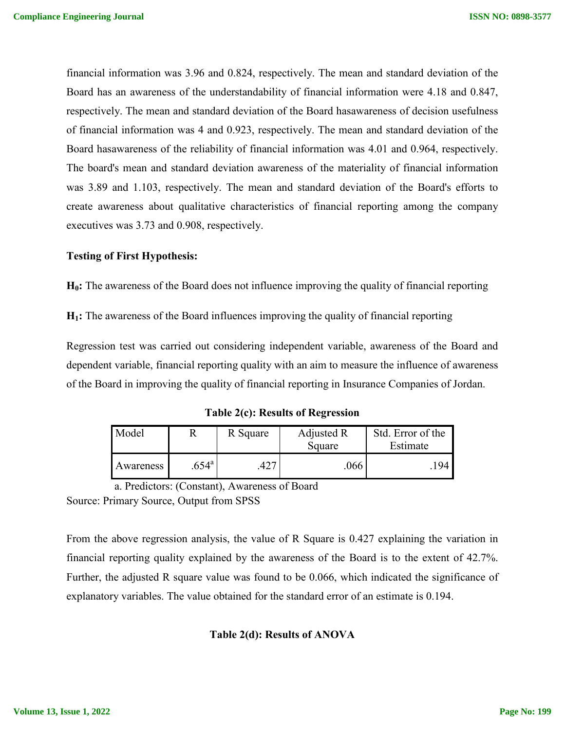financial information was 3.96 and 0.824, respectively. The mean and standard deviation of the Board has an awareness of the understandability of financial information were 4.18 and 0.847, respectively. The mean and standard deviation of the Board hasawareness of decision usefulness of financial information was 4 and 0.923, respectively. The mean and standard deviation of the Board hasawareness of the reliability of financial information was 4.01 and 0.964, respectively. The board's mean and standard deviation awareness of the materiality of financial information was 3.89 and 1.103, respectively. The mean and standard deviation of the Board's efforts to create awareness about qualitative characteristics of financial reporting among the company executives was 3.73 and 0.908, respectively.

# **Testing of First Hypothesis:**

**H0:** The awareness of the Board does not influence improving the quality of financial reporting

**H1:** The awareness of the Board influences improving the quality of financial reporting

Regression test was carried out considering independent variable, awareness of the Board and dependent variable, financial reporting quality with an aim to measure the influence of awareness of the Board in improving the quality of financial reporting in Insurance Companies of Jordan.

**Table 2(c): Results of Regression**

| Model     |                | R Square | Adjusted R<br>Square | Std. Error of the<br>Estimate |
|-----------|----------------|----------|----------------------|-------------------------------|
| Awareness | $.654^{\circ}$ |          | .066                 | 194 l                         |

a. Predictors: (Constant), Awareness of Board Source: Primary Source, Output from SPSS

From the above regression analysis, the value of R Square is 0.427 explaining the variation in financial reporting quality explained by the awareness of the Board is to the extent of 42.7%. Further, the adjusted R square value was found to be 0.066, which indicated the significance of explanatory variables. The value obtained for the standard error of an estimate is 0.194.

# **Table 2(d): Results of ANOVA**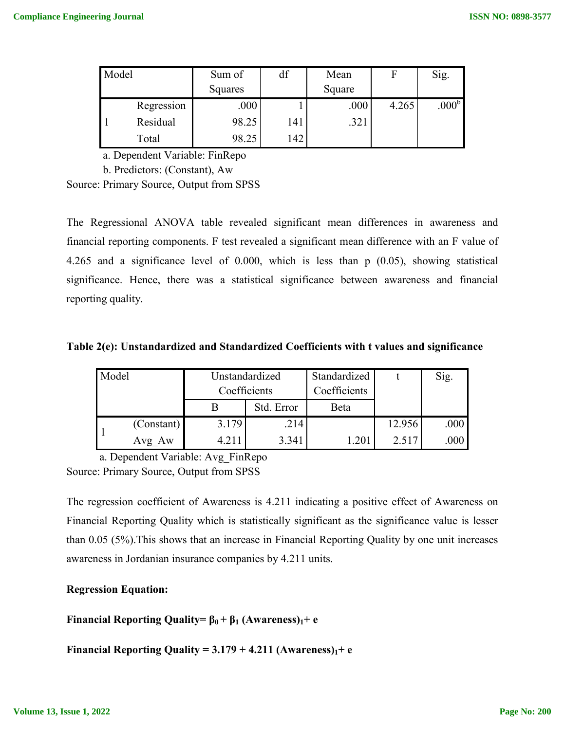| Model |            | Sum of  | df  | Mean   |       | Sig.              |
|-------|------------|---------|-----|--------|-------|-------------------|
|       |            | Squares |     | Square |       |                   |
|       | Regression | .000    |     | .000   | 4.265 | .000 <sup>b</sup> |
|       | Residual   | 98.25   | 141 | .321   |       |                   |
|       | Total      | 98.25   | 142 |        |       |                   |

a. Dependent Variable: FinRepo

b. Predictors: (Constant), Aw

Source: Primary Source, Output from SPSS

The Regressional ANOVA table revealed significant mean differences in awareness and financial reporting components. F test revealed a significant mean difference with an F value of 4.265 and a significance level of 0.000, which is less than p (0.05), showing statistical significance. Hence, there was a statistical significance between awareness and financial reporting quality.

| Table 2(e): Unstandardized and Standardized Coefficients with t values and significance |  |  |
|-----------------------------------------------------------------------------------------|--|--|
|-----------------------------------------------------------------------------------------|--|--|

| Model |            |              | Unstandardized | Standardized |        | Sig.              |
|-------|------------|--------------|----------------|--------------|--------|-------------------|
|       |            | Coefficients | Coefficients   |              |        |                   |
|       |            |              | Std. Error     | Beta         |        |                   |
|       | (Constant) | 3.179        | .214           |              | 12.956 | .000              |
|       | Avg Aw     | 4.211        | 3.341          |              | 2.517  | .000 <sub>l</sub> |

a. Dependent Variable: Avg\_FinRepo Source: Primary Source, Output from SPSS

The regression coefficient of Awareness is 4.211 indicating a positive effect of Awareness on Financial Reporting Quality which is statistically significant as the significance value is lesser than 0.05 (5%).This shows that an increase in Financial Reporting Quality by one unit increases awareness in Jordanian insurance companies by 4.211 units.

# **Regression Equation:**

**Financial Reporting Quality=**  $\beta_0 + \beta_1$  **(Awareness)<sub>1</sub>+ e** 

**Financial Reporting Quality =**  $3.179 + 4.211$  **(Awareness)** $_1 + e$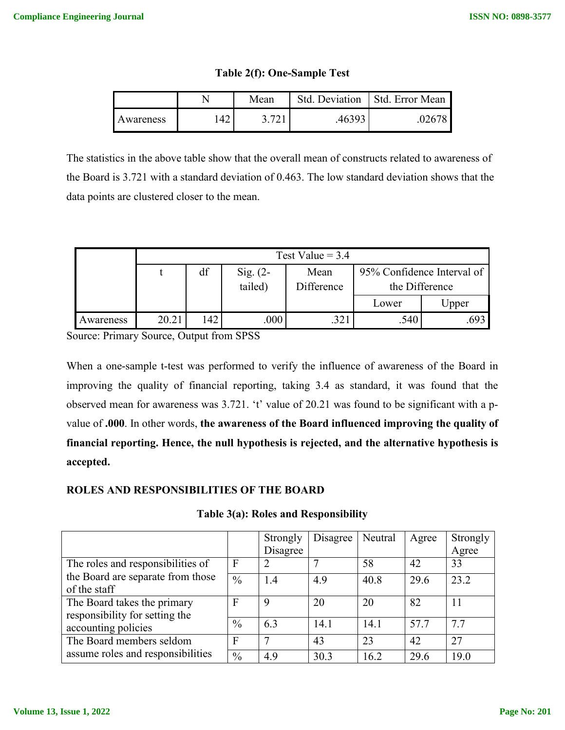|           |    | Mean | Std. Deviation | Std. Error Mean |  |
|-----------|----|------|----------------|-----------------|--|
| Awareness | 42 |      | .46393         |                 |  |

**Table 2(f): One-Sample Test**

The statistics in the above table show that the overall mean of constructs related to awareness of the Board is 3.721 with a standard deviation of 0.463. The low standard deviation shows that the data points are clustered closer to the mean.

|           |       | Test Value = $3.4$ |            |              |                            |                   |  |  |  |  |  |  |
|-----------|-------|--------------------|------------|--------------|----------------------------|-------------------|--|--|--|--|--|--|
|           |       | df                 | Sig. $(2-$ | Mean         | 95% Confidence Interval of |                   |  |  |  |  |  |  |
|           |       |                    | tailed)    | Difference   | the Difference             |                   |  |  |  |  |  |  |
|           |       |                    |            |              | Lower                      | J <sub>pper</sub> |  |  |  |  |  |  |
| Awareness | 20.21 | 142                | 000        | つつ<br>۰ عاد. | .540                       |                   |  |  |  |  |  |  |

Source: Primary Source, Output from SPSS

When a one-sample t-test was performed to verify the influence of awareness of the Board in improving the quality of financial reporting, taking 3.4 as standard, it was found that the observed mean for awareness was 3.721. 't' value of 20.21 was found to be significant with a pvalue of **.000**. In other words, **the awareness of the Board influenced improving the quality of financial reporting. Hence, the null hypothesis is rejected, and the alternative hypothesis is accepted.**

# **ROLES AND RESPONSIBILITIES OF THE BOARD**

**Table 3(a): Roles and Responsibility**

|                                                               |               | Strongly<br>Disagree | Disagree | Neutral | Agree | Strongly<br>Agree |
|---------------------------------------------------------------|---------------|----------------------|----------|---------|-------|-------------------|
| The roles and responsibilities of                             | F             |                      |          | 58      | 42    | 33                |
| the Board are separate from those<br>of the staff             | $\frac{0}{0}$ | 1.4                  | 4.9      | 40.8    | 29.6  | 23.2              |
| The Board takes the primary<br>responsibility for setting the | F             | 9                    | 20       | 20      | 82    | 11                |
| accounting policies                                           | $\frac{0}{0}$ | 6.3                  | 14.1     | 14.1    | 57.7  | 7.7               |
| The Board members seldom                                      | $\mathbf{F}$  |                      | 43       | 23      | 42    | 27                |
| assume roles and responsibilities                             | $\frac{0}{0}$ | 4.9                  | 30.3     | 16.2    | 29.6  | 19.0              |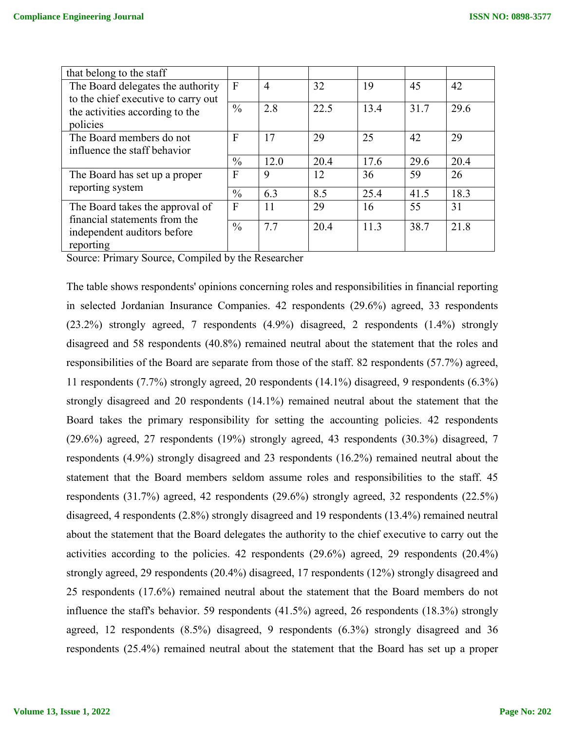| that belong to the staff            |                |      |      |      |      |      |
|-------------------------------------|----------------|------|------|------|------|------|
| The Board delegates the authority   | $\mathbf{F}$   | 4    | 32   | 19   | 45   | 42   |
| to the chief executive to carry out |                |      |      |      |      |      |
| the activities according to the     | $\frac{0}{0}$  | 2.8  | 22.5 | 13.4 | 31.7 | 29.6 |
| policies                            |                |      |      |      |      |      |
| The Board members do not            | $\overline{F}$ | 17   | 29   | 25   | 42   | 29   |
| influence the staff behavior        |                |      |      |      |      |      |
|                                     | $\frac{0}{0}$  | 12.0 | 20.4 | 17.6 | 29.6 | 20.4 |
| The Board has set up a proper       | $\overline{F}$ | 9    | 12   | 36   | 59   | 26   |
| reporting system                    | $\frac{0}{0}$  | 6.3  | 8.5  | 25.4 | 41.5 | 18.3 |
|                                     |                |      |      |      |      |      |
| The Board takes the approval of     | $\mathbf{F}$   | 11   | 29   | 16   | 55   | 31   |
| financial statements from the       | $\frac{0}{0}$  | 7.7  | 20.4 | 11.3 | 38.7 | 21.8 |
| independent auditors before         |                |      |      |      |      |      |
| reporting                           |                |      |      |      |      |      |

Source: Primary Source, Compiled by the Researcher

The table shows respondents' opinions concerning roles and responsibilities in financial reporting in selected Jordanian Insurance Companies. 42 respondents (29.6%) agreed, 33 respondents (23.2%) strongly agreed, 7 respondents (4.9%) disagreed, 2 respondents (1.4%) strongly disagreed and 58 respondents (40.8%) remained neutral about the statement that the roles and responsibilities of the Board are separate from those of the staff. 82 respondents (57.7%) agreed, 11 respondents (7.7%) strongly agreed, 20 respondents (14.1%) disagreed, 9 respondents (6.3%) strongly disagreed and 20 respondents (14.1%) remained neutral about the statement that the Board takes the primary responsibility for setting the accounting policies. 42 respondents (29.6%) agreed, 27 respondents (19%) strongly agreed, 43 respondents (30.3%) disagreed, 7 respondents (4.9%) strongly disagreed and 23 respondents (16.2%) remained neutral about the statement that the Board members seldom assume roles and responsibilities to the staff. 45 respondents (31.7%) agreed, 42 respondents (29.6%) strongly agreed, 32 respondents (22.5%) disagreed, 4 respondents (2.8%) strongly disagreed and 19 respondents (13.4%) remained neutral about the statement that the Board delegates the authority to the chief executive to carry out the activities according to the policies. 42 respondents (29.6%) agreed, 29 respondents (20.4%) strongly agreed, 29 respondents (20.4%) disagreed, 17 respondents (12%) strongly disagreed and 25 respondents (17.6%) remained neutral about the statement that the Board members do not influence the staff's behavior. 59 respondents (41.5%) agreed, 26 respondents (18.3%) strongly agreed, 12 respondents (8.5%) disagreed, 9 respondents (6.3%) strongly disagreed and 36 respondents (25.4%) remained neutral about the statement that the Board has set up a proper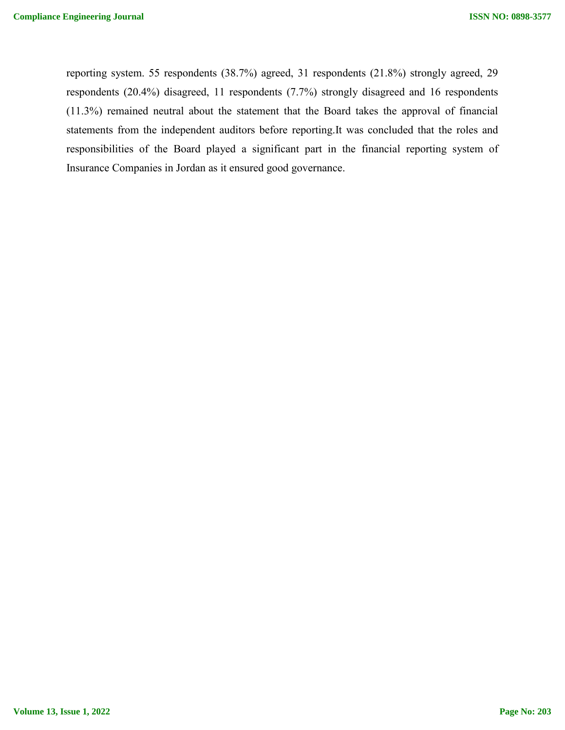reporting system. 55 respondents (38.7%) agreed, 31 respondents (21.8%) strongly agreed, 29 respondents (20.4%) disagreed, 11 respondents (7.7%) strongly disagreed and 16 respondents (11.3%) remained neutral about the statement that the Board takes the approval of financial statements from the independent auditors before reporting.It was concluded that the roles and responsibilities of the Board played a significant part in the financial reporting system of Insurance Companies in Jordan as it ensured good governance.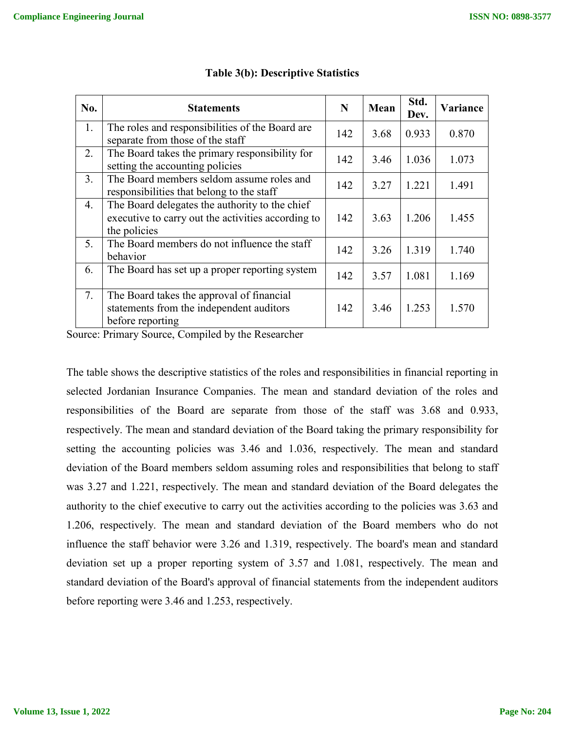| No. | <b>Statements</b>                                                                                                    | N   | Mean | Std.<br>Dev. | Variance |
|-----|----------------------------------------------------------------------------------------------------------------------|-----|------|--------------|----------|
| 1.  | The roles and responsibilities of the Board are<br>separate from those of the staff                                  | 142 | 3.68 | 0.933        | 0.870    |
| 2.  | The Board takes the primary responsibility for<br>setting the accounting policies                                    |     | 3.46 | 1.036        | 1.073    |
| 3.  | The Board members seldom assume roles and<br>responsibilities that belong to the staff                               |     | 3.27 | 1.221        | 1.491    |
| 4.  | The Board delegates the authority to the chief<br>executive to carry out the activities according to<br>the policies | 142 | 3.63 | 1.206        | 1.455    |
| 5.  | The Board members do not influence the staff<br>behavior                                                             | 142 | 3.26 | 1.319        | 1.740    |
| 6.  | The Board has set up a proper reporting system                                                                       | 142 | 3.57 | 1.081        | 1.169    |
| 7.  | The Board takes the approval of financial<br>statements from the independent auditors<br>before reporting            | 142 | 3.46 | 1.253        | 1.570    |

## **Table 3(b): Descriptive Statistics**

Source: Primary Source, Compiled by the Researcher

The table shows the descriptive statistics of the roles and responsibilities in financial reporting in selected Jordanian Insurance Companies. The mean and standard deviation of the roles and responsibilities of the Board are separate from those of the staff was 3.68 and 0.933, respectively. The mean and standard deviation of the Board taking the primary responsibility for setting the accounting policies was 3.46 and 1.036, respectively. The mean and standard deviation of the Board members seldom assuming roles and responsibilities that belong to staff was 3.27 and 1.221, respectively. The mean and standard deviation of the Board delegates the authority to the chief executive to carry out the activities according to the policies was 3.63 and 1.206, respectively. The mean and standard deviation of the Board members who do not influence the staff behavior were 3.26 and 1.319, respectively. The board's mean and standard deviation set up a proper reporting system of 3.57 and 1.081, respectively. The mean and standard deviation of the Board's approval of financial statements from the independent auditors before reporting were 3.46 and 1.253, respectively.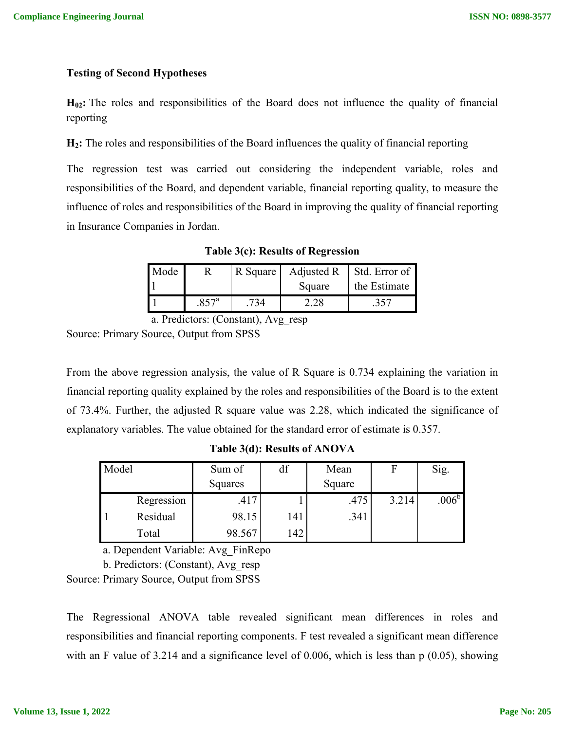## **Testing of Second Hypotheses**

**H02:** The roles and responsibilities of the Board does not influence the quality of financial reporting

**H2:** The roles and responsibilities of the Board influences the quality of financial reporting

The regression test was carried out considering the independent variable, roles and responsibilities of the Board, and dependent variable, financial reporting quality, to measure the influence of roles and responsibilities of the Board in improving the quality of financial reporting in Insurance Companies in Jordan.

| Mode |         | R Square | Adjusted R | Std. Error of |
|------|---------|----------|------------|---------------|
|      |         |          | Square     | the Estimate  |
|      | $857^a$ |          |            | 357           |

**Table 3(c): Results of Regression**

a. Predictors: (Constant), Avg\_resp

Source: Primary Source, Output from SPSS

From the above regression analysis, the value of R Square is 0.734 explaining the variation in financial reporting quality explained by the roles and responsibilities of the Board is to the extent of 73.4%. Further, the adjusted R square value was 2.28, which indicated the significance of explanatory variables. The value obtained for the standard error of estimate is 0.357.

**Table 3(d): Results of ANOVA**

| Model |            | Sum of  | df  | Mean   |       | Sig.              |
|-------|------------|---------|-----|--------|-------|-------------------|
|       |            | Squares |     | Square |       |                   |
|       | Regression | .417    |     | .475   | 3.214 | .006 <sup>b</sup> |
|       | Residual   | 98.15   | 141 | .341   |       |                   |
|       | Total      | 98.567  | 142 |        |       |                   |

a. Dependent Variable: Avg\_FinRepo

b. Predictors: (Constant), Avg\_resp

Source: Primary Source, Output from SPSS

The Regressional ANOVA table revealed significant mean differences in roles and responsibilities and financial reporting components. F test revealed a significant mean difference with an F value of 3.214 and a significance level of 0.006, which is less than p (0.05), showing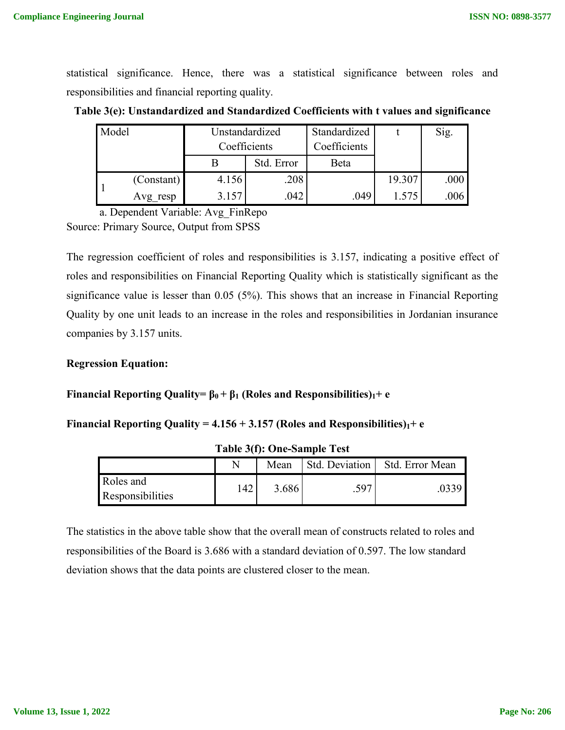statistical significance. Hence, there was a statistical significance between roles and responsibilities and financial reporting quality.

**Table 3(e): Unstandardized and Standardized Coefficients with t values and significance**

| Model |            | Unstandardized<br>Coefficients |            | Standardized<br>Coefficients |        | Sig. |
|-------|------------|--------------------------------|------------|------------------------------|--------|------|
|       |            |                                | Std. Error | Beta                         |        |      |
|       | (Constant) | 4.156                          | .208       |                              | 19.307 | .000 |
|       | Avg resp   | 3.157                          | .042       | .049                         | 1.575  | .006 |

a. Dependent Variable: Avg\_FinRepo Source: Primary Source, Output from SPSS

The regression coefficient of roles and responsibilities is 3.157, indicating a positive effect of roles and responsibilities on Financial Reporting Quality which is statistically significant as the significance value is lesser than 0.05 (5%). This shows that an increase in Financial Reporting Quality by one unit leads to an increase in the roles and responsibilities in Jordanian insurance companies by 3.157 units.

# **Regression Equation:**

# **Financial Reporting Quality=**  $\beta_0 + \beta_1$  **(Roles and Responsibilities)<sub>1</sub>+ e**

#### **Financial Reporting Quality =**  $4.156 + 3.157$  **(Roles and Responsibilities)**<sub>1</sub>+ e

|                                      |    | Mean  | Std. Deviation | Std. Error Mean |
|--------------------------------------|----|-------|----------------|-----------------|
| Roles and<br><b>Responsibilities</b> | 42 | 3.686 | .597           |                 |

**Table 3(f): One-Sample Test**

The statistics in the above table show that the overall mean of constructs related to roles and responsibilities of the Board is 3.686 with a standard deviation of 0.597. The low standard deviation shows that the data points are clustered closer to the mean.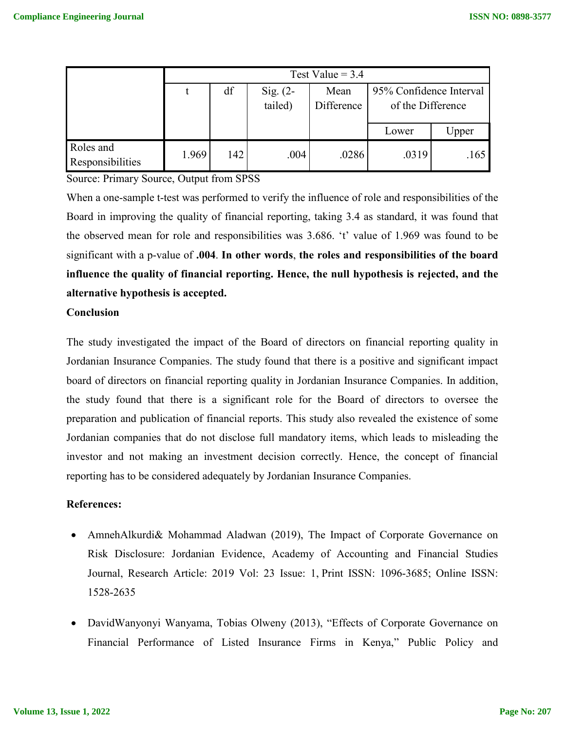|                               | Test Value = $3.4$ |     |            |            |                         |       |
|-------------------------------|--------------------|-----|------------|------------|-------------------------|-------|
|                               |                    | df  | Sig. $(2-$ | Mean       | 95% Confidence Interval |       |
|                               |                    |     | tailed)    | Difference | of the Difference       |       |
|                               |                    |     |            |            |                         |       |
|                               |                    |     |            |            | Lower                   | Upper |
| Roles and<br>Responsibilities | 1.969              | 142 | .004       | .0286      | .0319                   | .165  |

Source: Primary Source, Output from SPSS

When a one-sample t-test was performed to verify the influence of role and responsibilities of the Board in improving the quality of financial reporting, taking 3.4 as standard, it was found that the observed mean for role and responsibilities was 3.686. 't' value of 1.969 was found to be significant with a p-value of **.004**. **In other words**, **the roles and responsibilities of the board influence the quality of financial reporting. Hence, the null hypothesis is rejected, and the alternative hypothesis is accepted.**

#### **Conclusion**

The study investigated the impact of the Board of directors on financial reporting quality in Jordanian Insurance Companies. The study found that there is a positive and significant impact board of directors on financial reporting quality in Jordanian Insurance Companies. In addition, the study found that there is a significant role for the Board of directors to oversee the preparation and publication of financial reports. This study also revealed the existence of some Jordanian companies that do not disclose full mandatory items, which leads to misleading the investor and not making an investment decision correctly. Hence, the concept of financial reporting has to be considered adequately by Jordanian Insurance Companies.

#### **References:**

- AmnehAlkurdi& Mohammad Aladwan (2019), The Impact of Corporate Governance on Risk Disclosure: Jordanian Evidence, Academy of Accounting and Financial Studies Journal, Research Article: 2019 Vol: 23 Issue: 1, Print ISSN: 1096-3685; Online ISSN: 1528-2635
- DavidWanyonyi Wanyama, Tobias Olweny (2013), "Effects of Corporate Governance on Financial Performance of Listed Insurance Firms in Kenya," Public Policy and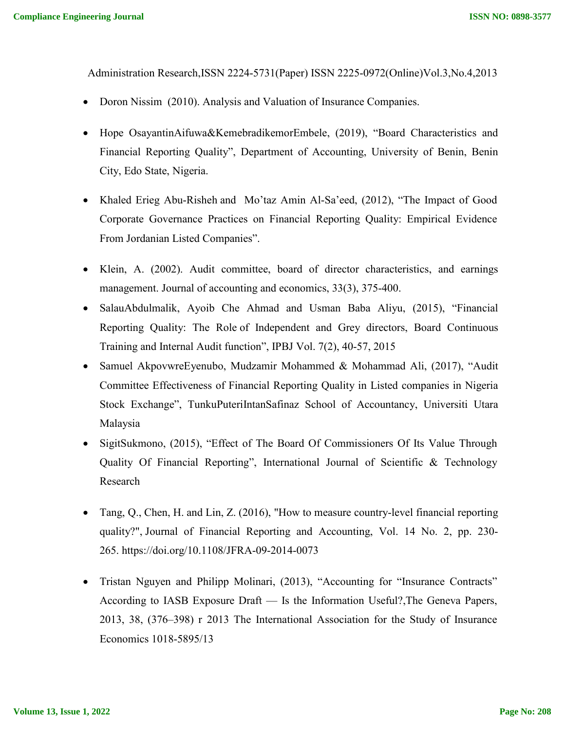Administration Research,ISSN 2224-5731(Paper) ISSN 2225-0972(Online)Vol.3,No.4,2013

- Doron Nissim (2010). Analysis and Valuation of Insurance Companies.
- Hope OsayantinAifuwa&KemebradikemorEmbele, (2019), "Board Characteristics and Financial Reporting Quality", Department of Accounting, University of Benin, Benin City, Edo State, Nigeria.
- Khaled Erieg Abu-Risheh and Mo'taz Amin Al-Sa'eed, (2012), "The Impact of Good Corporate Governance Practices on Financial Reporting Quality: Empirical Evidence From Jordanian Listed Companies".
- Klein, A. (2002). Audit committee, board of director characteristics, and earnings management. Journal of accounting and economics, 33(3), 375-400.
- SalauAbdulmalik, Ayoib Che Ahmad and Usman Baba Aliyu, (2015), "Financial Reporting Quality: The Role of Independent and Grey directors, Board Continuous Training and Internal Audit function", IPBJ Vol. 7(2), 40-57, 2015
- Samuel AkpovwreEyenubo, Mudzamir Mohammed & Mohammad Ali, (2017), "Audit Committee Effectiveness of Financial Reporting Quality in Listed companies in Nigeria Stock Exchange", TunkuPuteriIntanSafinaz School of Accountancy, Universiti Utara Malaysia
- SigitSukmono, (2015), "Effect of The Board Of Commissioners Of Its Value Through Quality Of Financial Reporting", International Journal of Scientific & Technology Research
- Tang, Q., Chen, H. and Lin, Z. (2016), "How to measure country-level financial reporting quality?", Journal of Financial Reporting and Accounting, Vol. 14 No. 2, pp. 230- 265. https://doi.org/10.1108/JFRA-09-2014-0073
- Tristan Nguyen and Philipp Molinari, (2013), "Accounting for "Insurance Contracts" According to IASB Exposure Draft — Is the Information Useful?,The Geneva Papers, 2013, 38, (376–398) r 2013 The International Association for the Study of Insurance Economics 1018-5895/13